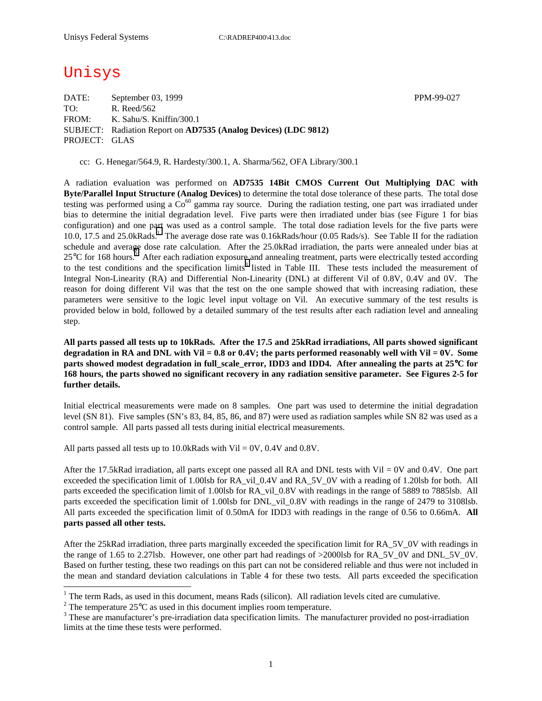# Unisys

 $\overline{a}$ 

DATE: September 03, 1999 PPM-99-027 TO: R. Reed/562 FROM: K. Sahu/S. Kniffin/300.1 SUBJECT: Radiation Report on **AD7535 (Analog Devices) (LDC 9812)** PROJECT: GLAS

cc: G. Henegar/564.9, R. Hardesty/300.1, A. Sharma/562, OFA Library/300.1

A radiation evaluation was performed on **AD7535 14Bit CMOS Current Out Multiplying DAC with Byte/Parallel Input Structure (Analog Devices)** to determine the total dose tolerance of these parts. The total dose testing was performed using a  $Co^{60}$  gamma ray source. During the radiation testing, one part was irradiated under bias to determine the initial degradation level. Five parts were then irradiated under bias (see Figure 1 for bias configuration) and one part was used as a control sample. The total dose radiation levels for the five parts were 10.0, 17.5 and 25.0kRads.<sup>1</sup> The average dose rate was 0.16kRads/hour (0.05 Rads/s). See Table II for the radiation schedule and average dose rate calculation. After the 25.0kRad irradiation, the parts were annealed under bias at  $25^{\circ}$ C for 168 hours.<sup>2</sup> After each radiation exposure and annealing treatment, parts were electrically tested according to the test conditions and the specification limits<sup>3</sup> listed in Table III. These tests included the measurement of Integral Non-Linearity (RA) and Differential Non-Linearity (DNL) at different Vil of 0.8V, 0.4V and 0V. The reason for doing different Vil was that the test on the one sample showed that with increasing radiation, these parameters were sensitive to the logic level input voltage on Vil. An executive summary of the test results is provided below in bold, followed by a detailed summary of the test results after each radiation level and annealing step.

**All parts passed all tests up to 10kRads. After the 17.5 and 25kRad irradiations, All parts showed significant degradation in RA and DNL with Vil = 0.8 or 0.4V; the parts performed reasonably well with Vil = 0V. Some parts showed modest degradation in full scale error, IDD3 and IDD4. After annealing the parts at 25<sup>°</sup>C for 168 hours, the parts showed no significant recovery in any radiation sensitive parameter. See Figures 2-5 for further details.** 

Initial electrical measurements were made on 8 samples. One part was used to determine the initial degradation level (SN 81). Five samples (SN's 83, 84, 85, 86, and 87) were used as radiation samples while SN 82 was used as a control sample. All parts passed all tests during initial electrical measurements.

All parts passed all tests up to  $10.0$ kRads with Vil = 0V,  $0.4$ V and  $0.8$ V.

After the 17.5kRad irradiation, all parts except one passed all RA and DNL tests with Vil = 0V and 0.4V. One part exceeded the specification limit of 1.00lsb for RA\_vil\_0.4V and RA\_5V\_0V with a reading of 1.20lsb for both. All parts exceeded the specification limit of 1.00lsb for RA\_vil\_0.8V with readings in the range of 5889 to 7885lsb. All parts exceeded the specification limit of 1.00lsb for DNL\_vil\_0.8V with readings in the range of 2479 to 3108lsb. All parts exceeded the specification limit of 0.50mA for IDD3 with readings in the range of 0.56 to 0.66mA. **All parts passed all other tests.**

After the 25kRad irradiation, three parts marginally exceeded the specification limit for RA\_5V\_0V with readings in the range of 1.65 to 2.27lsb. However, one other part had readings of >2000lsb for RA\_5V\_0V and DNL\_5V\_0V. Based on further testing, these two readings on this part can not be considered reliable and thus were not included in the mean and standard deviation calculations in Table 4 for these two tests. All parts exceeded the specification

<sup>&</sup>lt;sup>1</sup> The term Rads, as used in this document, means Rads (silicon). All radiation levels cited are cumulative.

<sup>&</sup>lt;sup>2</sup> The temperature 25 $^{\circ}$ C as used in this document implies room temperature.  $^3$  These are manufacturer's are irrediction date apositionism limits. The manufacturer's

<sup>&</sup>lt;sup>3</sup> These are manufacturer's pre-irradiation data specification limits. The manufacturer provided no post-irradiation limits at the time these tests were performed.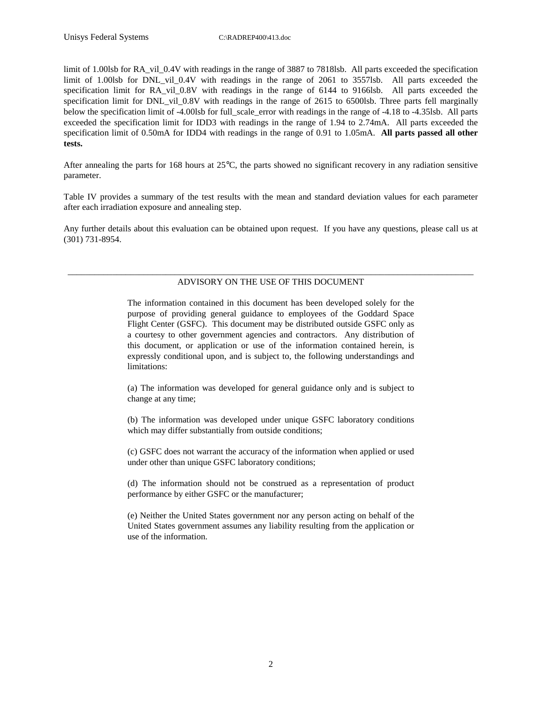limit of 1.00lsb for RA\_vil\_0.4V with readings in the range of 3887 to 7818lsb. All parts exceeded the specification limit of 1.00lsb for DNL\_vil\_0.4V with readings in the range of 2061 to 3557lsb. All parts exceeded the specification limit for RA vil 0.8V with readings in the range of 6144 to 9166lsb. All parts exceeded the specification limit for DNL\_vil\_0.8V with readings in the range of 2615 to 6500lsb. Three parts fell marginally below the specification limit of -4.00lsb for full\_scale\_error with readings in the range of -4.18 to -4.35lsb. All parts exceeded the specification limit for IDD3 with readings in the range of 1.94 to 2.74mA. All parts exceeded the specification limit of 0.50mA for IDD4 with readings in the range of 0.91 to 1.05mA. **All parts passed all other tests.**

After annealing the parts for 168 hours at 25°C, the parts showed no significant recovery in any radiation sensitive parameter.

Table IV provides a summary of the test results with the mean and standard deviation values for each parameter after each irradiation exposure and annealing step.

Any further details about this evaluation can be obtained upon request. If you have any questions, please call us at (301) 731-8954.

#### \_\_\_\_\_\_\_\_\_\_\_\_\_\_\_\_\_\_\_\_\_\_\_\_\_\_\_\_\_\_\_\_\_\_\_\_\_\_\_\_\_\_\_\_\_\_\_\_\_\_\_\_\_\_\_\_\_\_\_\_\_\_\_\_\_\_\_\_\_\_\_\_\_\_\_\_\_\_\_\_\_\_\_\_\_\_\_\_\_\_\_ ADVISORY ON THE USE OF THIS DOCUMENT

The information contained in this document has been developed solely for the purpose of providing general guidance to employees of the Goddard Space Flight Center (GSFC). This document may be distributed outside GSFC only as a courtesy to other government agencies and contractors. Any distribution of this document, or application or use of the information contained herein, is expressly conditional upon, and is subject to, the following understandings and limitations:

(a) The information was developed for general guidance only and is subject to change at any time;

(b) The information was developed under unique GSFC laboratory conditions which may differ substantially from outside conditions;

(c) GSFC does not warrant the accuracy of the information when applied or used under other than unique GSFC laboratory conditions;

(d) The information should not be construed as a representation of product performance by either GSFC or the manufacturer;

(e) Neither the United States government nor any person acting on behalf of the United States government assumes any liability resulting from the application or use of the information.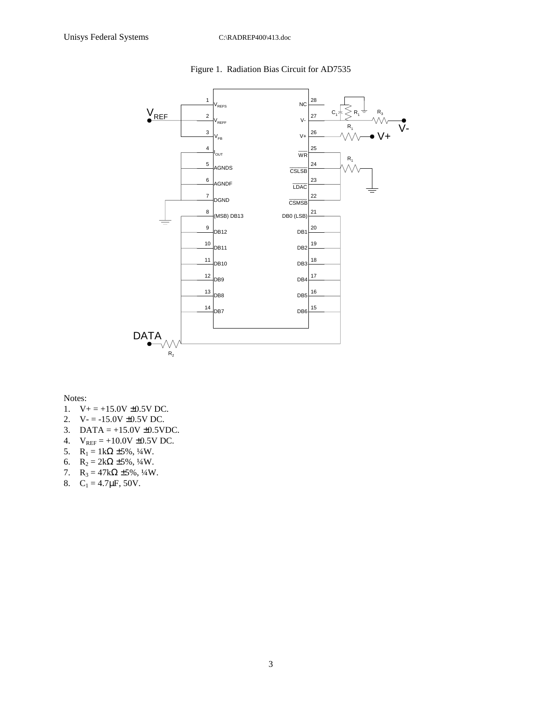

## Figure 1. Radiation Bias Circuit for AD7535

Notes:

- 1.  $V_+ = +15.0V \pm 0.5V$  DC.
- 2.  $V = -15.0V \pm 0.5V$  DC.
- 3. DATA =  $+15.0V \pm 0.5VDC$ .
- 4.  $V_{REF} = +10.0V \pm 0.5V$  DC.
- 5.  $R_1 = 1k\Omega \pm 5\%, \frac{1}{4}W$ .
- 6.  $R_2 = 2k\Omega \pm 5\%, \frac{1}{4}W$ .
- 7.  $R_3 = 47k\Omega \pm 5\%, \frac{1}{4}W$ .
- 8.  $C_1 = 4.7 \mu F$ , 50V.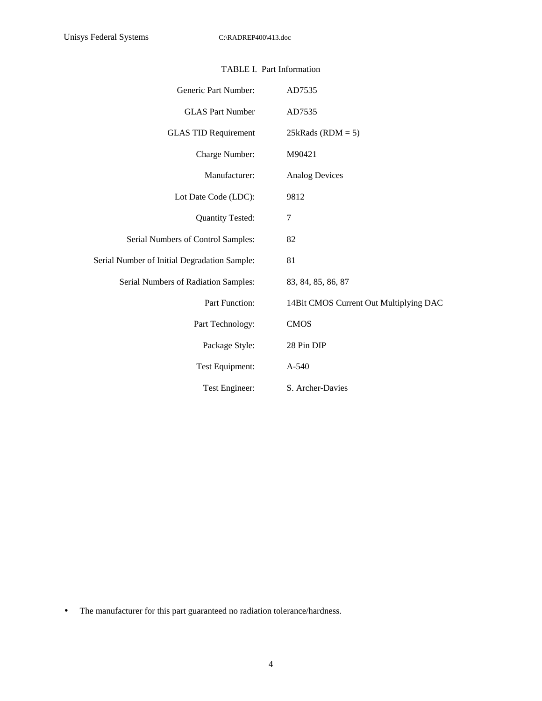| Generic Part Number:                         | AD7535                                 |
|----------------------------------------------|----------------------------------------|
| <b>GLAS Part Number</b>                      | AD7535                                 |
| <b>GLAS TID Requirement</b>                  | $25kRads (RDM = 5)$                    |
| Charge Number:                               | M90421                                 |
| Manufacturer:                                | <b>Analog Devices</b>                  |
| Lot Date Code (LDC):                         | 9812                                   |
| Quantity Tested:                             | 7                                      |
| Serial Numbers of Control Samples:           | 82                                     |
| Serial Number of Initial Degradation Sample: | 81                                     |
| Serial Numbers of Radiation Samples:         | 83, 84, 85, 86, 87                     |
| Part Function:                               | 14Bit CMOS Current Out Multiplying DAC |
| Part Technology:                             | <b>CMOS</b>                            |
| Package Style:                               | 28 Pin DIP                             |
| Test Equipment:                              | $A-540$                                |
| Test Engineer:                               | S. Archer-Davies                       |

# TABLE I. Part Information

• The manufacturer for this part guaranteed no radiation tolerance/hardness.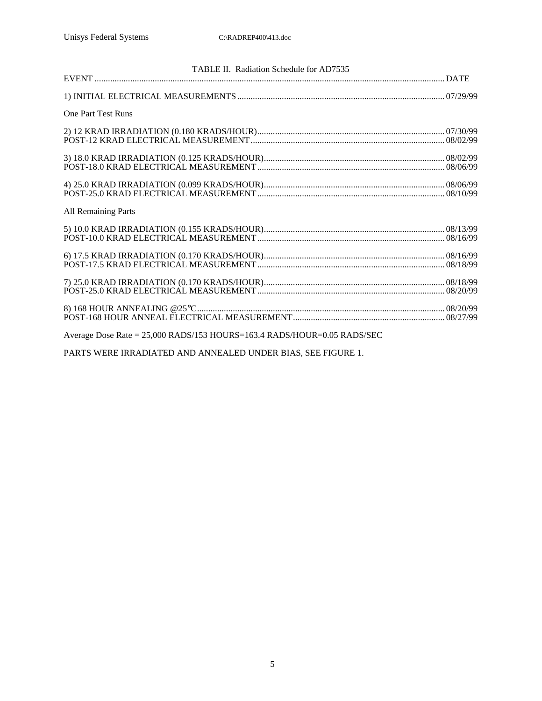| TABLE II. Radiation Schedule for AD7535                                 |  |
|-------------------------------------------------------------------------|--|
|                                                                         |  |
| <b>One Part Test Runs</b>                                               |  |
|                                                                         |  |
|                                                                         |  |
|                                                                         |  |
| <b>All Remaining Parts</b>                                              |  |
|                                                                         |  |
|                                                                         |  |
|                                                                         |  |
|                                                                         |  |
| Average Dose Rate = 25,000 RADS/153 HOURS=163.4 RADS/HOUR=0.05 RADS/SEC |  |

PARTS WERE IRRADIATED AND ANNEALED UNDER BIAS, SEE FIGURE 1.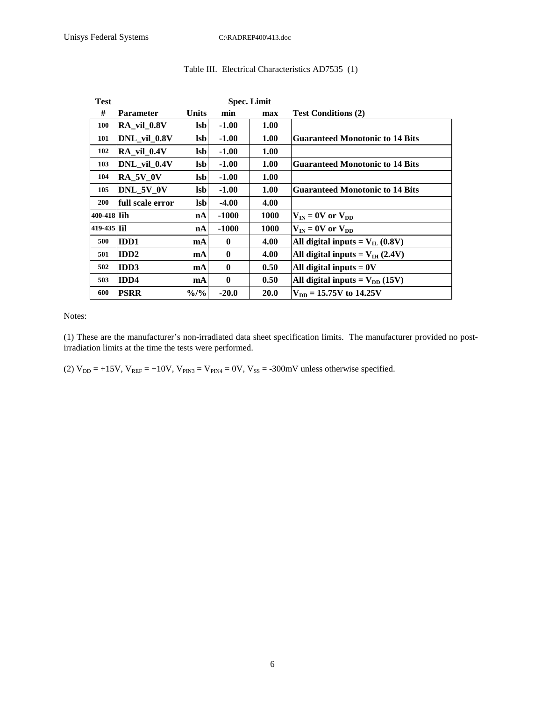| Test               | <b>Spec. Limit</b>         |                  |          |      |                                             |  |  |  |
|--------------------|----------------------------|------------------|----------|------|---------------------------------------------|--|--|--|
| #                  | <b>Parameter</b>           | <b>Units</b>     | min      | max  | <b>Test Conditions (2)</b>                  |  |  |  |
| <b>100</b>         | RA_vil_0.8V                | lsbl             | $-1.00$  | 1.00 |                                             |  |  |  |
| 101                | DNL vil 0.8V               | <b>Isb</b>       | $-1.00$  | 1.00 | <b>Guaranteed Monotonic to 14 Bits</b>      |  |  |  |
| 102                | $RA$ <sub>_vil</sub> _0.4V | <b>lsb</b>       | $-1.00$  | 1.00 |                                             |  |  |  |
| 103                | DNL vil 0.4V               | <b>Isb</b>       | $-1.00$  | 1.00 | <b>Guaranteed Monotonic to 14 Bits</b>      |  |  |  |
| 104                | <b>RA_5V_0V</b>            | <b>lsb</b>       | $-1.00$  | 1.00 |                                             |  |  |  |
| 105                | DNL 5V 0V                  | <b>Isb</b>       | $-1.00$  | 1.00 | <b>Guaranteed Monotonic to 14 Bits</b>      |  |  |  |
| <b>200</b>         | full scale error           | <b>Isb</b>       | $-4.00$  | 4.00 |                                             |  |  |  |
| 400-418 <b>Tih</b> |                            | nA               | $-1000$  | 1000 | $V_{IN} = 0V$ or $V_{DD}$                   |  |  |  |
| 419-435 Til        |                            | nA               | $-1000$  | 1000 | $V_{IN} = 0V$ or $V_{DD}$                   |  |  |  |
| 500                | <b>IDD1</b>                | mA               | $\bf{0}$ | 4.00 | All digital inputs = $V_{IL}$ (0.8V)        |  |  |  |
| 501                | <b>IDD2</b>                | <b>mA</b>        | $\bf{0}$ | 4.00 | All digital inputs = $V_{\text{IH}}$ (2.4V) |  |  |  |
| 502                | <b>IDD3</b>                | <b>mA</b>        | $\bf{0}$ | 0.50 | All digital inputs $= 0V$                   |  |  |  |
| 503                | IDD4                       | <b>mA</b>        | $\bf{0}$ | 0.50 | All digital inputs = $V_{DD}$ (15V)         |  |  |  |
| 600                | <b>PSRR</b>                | $\frac{9}{0}$ /% | $-20.0$  | 20.0 | $V_{DD} = 15.75V$ to 14.25V                 |  |  |  |

## Table III. Electrical Characteristics AD7535 (1)

Notes:

(1) These are the manufacturer's non-irradiated data sheet specification limits. The manufacturer provided no postirradiation limits at the time the tests were performed.

(2)  $V_{DD} = +15V$ ,  $V_{REF} = +10V$ ,  $V_{PN3} = V_{PN4} = 0V$ ,  $V_{SS} = -300$  mV unless otherwise specified.